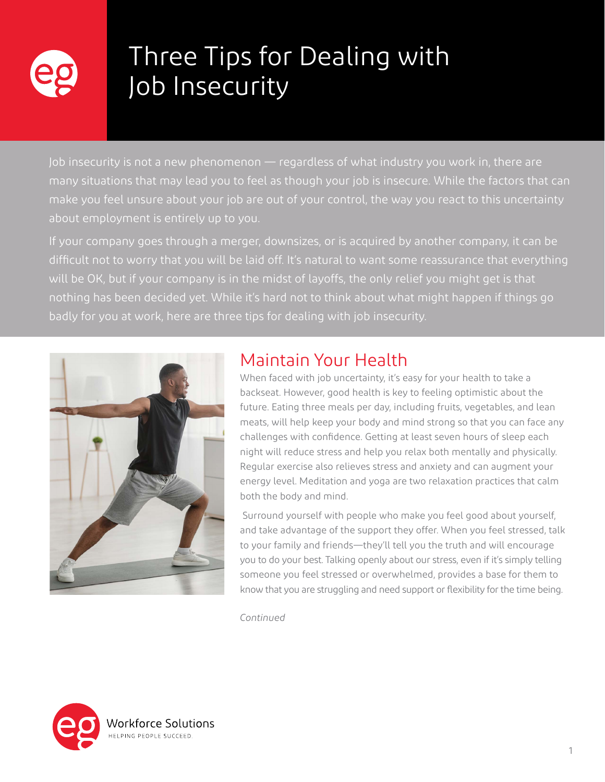

## Three Tips for Dealing with Job Insecurity

Job insecurity is not a new phenomenon — regardless of what industry you work in, there are many situations that may lead you to feel as though your job is insecure. While the factors that can make you feel unsure about your job are out of your control, the way you react to this uncertainty about employment is entirely up to you.

If your company goes through a merger, downsizes, or is acquired by another company, it can be difficult not to worry that you will be laid off. It's natural to want some reassurance that everything will be OK, but if your company is in the midst of layoffs, the only relief you might get is that nothing has been decided yet. While it's hard not to think about what might happen if things go badly for you at work, here are three tips for dealing with job insecurity.



## Maintain Your Health

When faced with job uncertainty, it's easy for your health to take a backseat. However, good health is key to feeling optimistic about the future. Eating three meals per day, including fruits, vegetables, and lean meats, will help keep your body and mind strong so that you can face any challenges with confidence. Getting at least seven hours of sleep each night will reduce stress and help you relax both mentally and physically. Regular exercise also relieves stress and anxiety and can augment your energy level. Meditation and yoga are two relaxation practices that calm both the body and mind.

 Surround yourself with people who make you feel good about yourself, and take advantage of the support they offer. When you feel stressed, talk to your family and friends—they'll tell you the truth and will encourage you to do your best. Talking openly about our stress, even if it's simply telling someone you feel stressed or overwhelmed, provides a base for them to know that you are struggling and need support or flexibility for the time being.

*Continued*